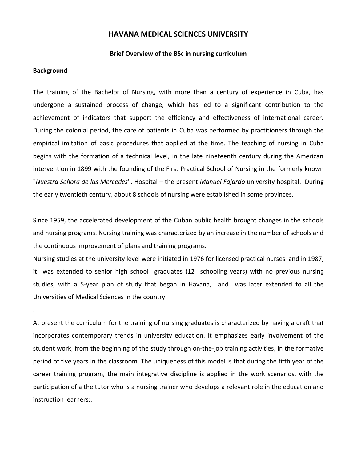# **HAVANA MEDICAL SCIENCES UNIVERSITY**

#### **Brief Overview of the BSc in nursing curriculum**

#### **Background**

.

.

The training of the Bachelor of Nursing, with more than a century of experience in Cuba, has undergone a sustained process of change, which has led to a significant contribution to the achievement of indicators that support the efficiency and effectiveness of international career. During the colonial period, the care of patients in Cuba was performed by practitioners through the empirical imitation of basic procedures that applied at the time. The teaching of nursing in Cuba begins with the formation of a technical level, in the late nineteenth century during the American intervention in 1899 with the founding of the First Practical School of Nursing in the formerly known "*Nuestra Señora de las Mercedes*". Hospital – the present *Manuel Fajardo* university hospital. During the early twentieth century, about 8 schools of nursing were established in some provinces.

Since 1959, the accelerated development of the Cuban public health brought changes in the schools and nursing programs. Nursing training was characterized by an increase in the number of schools and the continuous improvement of plans and training programs.

Nursing studies at the university level were initiated in 1976 for licensed practical nurses and in 1987, it was extended to senior high school graduates (12 schooling years) with no previous nursing studies, with a 5-year plan of study that began in Havana, and was later extended to all the Universities of Medical Sciences in the country.

At present the curriculum for the training of nursing graduates is characterized by having a draft that incorporates contemporary trends in university education. It emphasizes early involvement of the student work, from the beginning of the study through on-the-job training activities, in the formative period of five years in the classroom. The uniqueness of this model is that during the fifth year of the career training program, the main integrative discipline is applied in the work scenarios, with the participation of a the tutor who is a nursing trainer who develops a relevant role in the education and instruction learners:.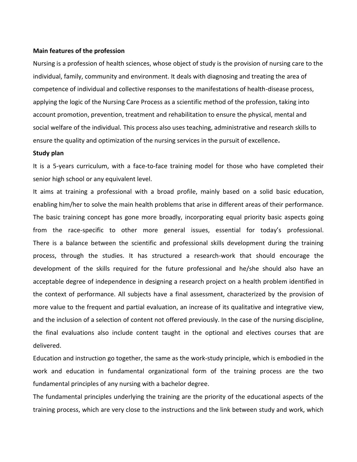#### **Main features of the profession**

Nursing is a profession of health sciences, whose object of study is the provision of nursing care to the individual, family, community and environment. It deals with diagnosing and treating the area of competence of individual and collective responses to the manifestations of health-disease process, applying the logic of the Nursing Care Process as a scientific method of the profession, taking into account promotion, prevention, treatment and rehabilitation to ensure the physical, mental and social welfare of the individual. This process also uses teaching, administrative and research skills to ensure the quality and optimization of the nursing services in the pursuit of excellence**.**

#### **Study plan**

It is a 5-years curriculum, with a face-to-face training model for those who have completed their senior high school or any equivalent level.

It aims at training a professional with a broad profile, mainly based on a solid basic education, enabling him/her to solve the main health problems that arise in different areas of their performance. The basic training concept has gone more broadly, incorporating equal priority basic aspects going from the race-specific to other more general issues, essential for today's professional. There is a balance between the scientific and professional skills development during the training process, through the studies. It has structured a research-work that should encourage the development of the skills required for the future professional and he/she should also have an acceptable degree of independence in designing a research project on a health problem identified in the context of performance. All subjects have a final assessment, characterized by the provision of more value to the frequent and partial evaluation, an increase of its qualitative and integrative view, and the inclusion of a selection of content not offered previously. In the case of the nursing discipline, the final evaluations also include content taught in the optional and electives courses that are delivered.

Education and instruction go together, the same as the work-study principle, which is embodied in the work and education in fundamental organizational form of the training process are the two fundamental principles of any nursing with a bachelor degree.

The fundamental principles underlying the training are the priority of the educational aspects of the training process, which are very close to the instructions and the link between study and work, which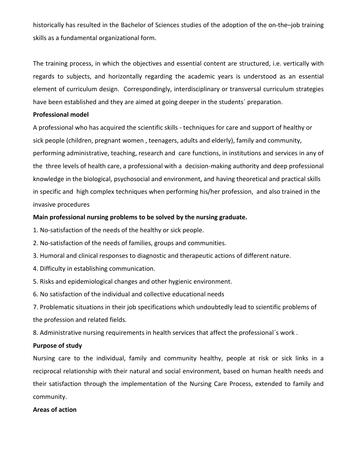historically has resulted in the Bachelor of Sciences studies of the adoption of the on-the–job training skills as a fundamental organizational form.

The training process, in which the objectives and essential content are structured, i.e. vertically with regards to subjects, and horizontally regarding the academic years is understood as an essential element of curriculum design. Correspondingly, interdisciplinary or transversal curriculum strategies have been established and they are aimed at going deeper in the students´ preparation.

# **Professional model**

A professional who has acquired the scientific skills - techniques for care and support of healthy or sick people (children, pregnant women , teenagers, adults and elderly), family and community, performing administrative, teaching, research and care functions, in institutions and services in any of the three levels of health care, a professional with a decision-making authority and deep professional knowledge in the biological, psychosocial and environment, and having theoretical and practical skills in specific and high complex techniques when performing his/her profession, and also trained in the invasive procedures

## **Main professional nursing problems to be solved by the nursing graduate.**

- 1. No-satisfaction of the needs of the healthy or sick people.
- 2. No-satisfaction of the needs of families, groups and communities.
- 3. Humoral and clinical responses to diagnostic and therapeutic actions of different nature.
- 4. Difficulty in establishing communication.
- 5. Risks and epidemiological changes and other hygienic environment.
- 6. No satisfaction of the individual and collective educational needs

7. Problematic situations in their job specifications which undoubtedly lead to scientific problems of the profession and related fields.

8. Administrative nursing requirements in health services that affect the professional´s work .

# **Purpose of study**

Nursing care to the individual, family and community healthy, people at risk or sick links in a reciprocal relationship with their natural and social environment, based on human health needs and their satisfaction through the implementation of the Nursing Care Process, extended to family and community.

#### **Areas of action**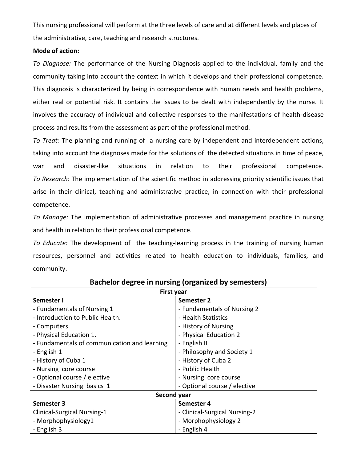This nursing professional will perform at the three levels of care and at different levels and places of the administrative, care, teaching and research structures.

## **Mode of action:**

*To Diagnose:* The performance of the Nursing Diagnosis applied to the individual, family and the community taking into account the context in which it develops and their professional competence. This diagnosis is characterized by being in correspondence with human needs and health problems, either real or potential risk. It contains the issues to be dealt with independently by the nurse. It involves the accuracy of individual and collective responses to the manifestations of health-disease process and results from the assessment as part of the professional method.

*To Treat:* The planning and running of a nursing care by independent and interdependent actions, taking into account the diagnoses made for the solutions of the detected situations in time of peace, war and disaster-like situations in relation to their professional competence. *To Research:* The implementation of the scientific method in addressing priority scientific issues that arise in their clinical, teaching and administrative practice, in connection with their professional competence.

*To Manage:* The implementation of administrative processes and management practice in nursing and health in relation to their professional competence.

*To Educate:* The development of the teaching-learning process in the training of nursing human resources, personnel and activities related to health education to individuals, families, and community.

| <b>First year</b>                            |                               |  |  |  |
|----------------------------------------------|-------------------------------|--|--|--|
| Semester I                                   | Semester 2                    |  |  |  |
| - Fundamentals of Nursing 1                  | - Fundamentals of Nursing 2   |  |  |  |
| - Introduction to Public Health.             | - Health Statistics           |  |  |  |
| - Computers.                                 | - History of Nursing          |  |  |  |
| - Physical Education 1.                      | - Physical Education 2        |  |  |  |
| - Fundamentals of communication and learning | - English II                  |  |  |  |
| - English 1                                  | - Philosophy and Society 1    |  |  |  |
| - History of Cuba 1                          | - History of Cuba 2           |  |  |  |
| - Nursing core course                        | - Public Health               |  |  |  |
| - Optional course / elective                 | - Nursing core course         |  |  |  |
| - Disaster Nursing basics 1                  | - Optional course / elective  |  |  |  |
| Second year                                  |                               |  |  |  |
| Semester 3                                   | Semester 4                    |  |  |  |
| <b>Clinical-Surgical Nursing-1</b>           | - Clinical-Surgical Nursing-2 |  |  |  |
| - Morphophysiology1                          | - Morphophysiology 2          |  |  |  |
| - English 3                                  | - English 4                   |  |  |  |

# **Bachelor degree in nursing (organized by semesters)**